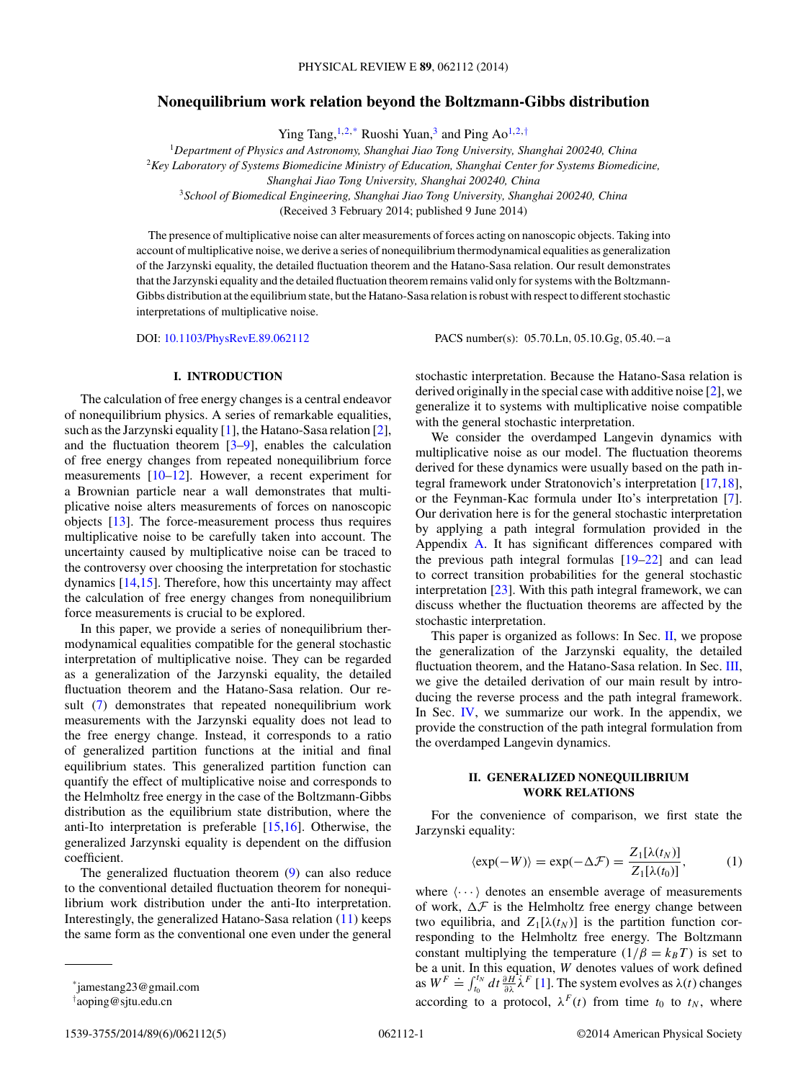# <span id="page-0-0"></span>**Nonequilibrium work relation beyond the Boltzmann-Gibbs distribution**

Ying Tang,  $1,2,*$  Ruoshi Yuan,<sup>3</sup> and Ping Ao<sup>1,2,†</sup>

<sup>1</sup>*Department of Physics and Astronomy, Shanghai Jiao Tong University, Shanghai 200240, China*

<sup>2</sup>*Key Laboratory of Systems Biomedicine Ministry of Education, Shanghai Center for Systems Biomedicine,*

*Shanghai Jiao Tong University, Shanghai 200240, China*

<sup>3</sup>*School of Biomedical Engineering, Shanghai Jiao Tong University, Shanghai 200240, China*

(Received 3 February 2014; published 9 June 2014)

The presence of multiplicative noise can alter measurements of forces acting on nanoscopic objects. Taking into account of multiplicative noise, we derive a series of nonequilibrium thermodynamical equalities as generalization of the Jarzynski equality, the detailed fluctuation theorem and the Hatano-Sasa relation. Our result demonstrates that the Jarzynski equality and the detailed fluctuation theorem remains valid only for systems with the Boltzmann-Gibbs distribution at the equilibrium state, but the Hatano-Sasa relation is robust with respect to different stochastic interpretations of multiplicative noise.

DOI: [10.1103/PhysRevE.89.062112](http://dx.doi.org/10.1103/PhysRevE.89.062112) PACS number(s): 05*.*70*.*Ln*,* 05*.*10*.*Gg*,* 05*.*40*.*−a

#### **I. INTRODUCTION**

The calculation of free energy changes is a central endeavor of nonequilibrium physics. A series of remarkable equalities, such as the Jarzynski equality [\[1\]](#page-4-0), the Hatano-Sasa relation [\[2\]](#page-4-0), and the fluctuation theorem  $[3-9]$ , enables the calculation of free energy changes from repeated nonequilibrium force measurements [\[10–12\]](#page-4-0). However, a recent experiment for a Brownian particle near a wall demonstrates that multiplicative noise alters measurements of forces on nanoscopic objects [\[13\]](#page-4-0). The force-measurement process thus requires multiplicative noise to be carefully taken into account. The uncertainty caused by multiplicative noise can be traced to the controversy over choosing the interpretation for stochastic dynamics [\[14,15\]](#page-4-0). Therefore, how this uncertainty may affect the calculation of free energy changes from nonequilibrium force measurements is crucial to be explored.

In this paper, we provide a series of nonequilibrium thermodynamical equalities compatible for the general stochastic interpretation of multiplicative noise. They can be regarded as a generalization of the Jarzynski equality, the detailed fluctuation theorem and the Hatano-Sasa relation. Our result [\(7\)](#page-1-0) demonstrates that repeated nonequilibrium work measurements with the Jarzynski equality does not lead to the free energy change. Instead, it corresponds to a ratio of generalized partition functions at the initial and final equilibrium states. This generalized partition function can quantify the effect of multiplicative noise and corresponds to the Helmholtz free energy in the case of the Boltzmann-Gibbs distribution as the equilibrium state distribution, where the anti-Ito interpretation is preferable [\[15,16\]](#page-4-0). Otherwise, the generalized Jarzynski equality is dependent on the diffusion coefficient.

The generalized fluctuation theorem [\(9\)](#page-2-0) can also reduce to the conventional detailed fluctuation theorem for nonequilibrium work distribution under the anti-Ito interpretation. Interestingly, the generalized Hatano-Sasa relation [\(11\)](#page-2-0) keeps the same form as the conventional one even under the general stochastic interpretation. Because the Hatano-Sasa relation is derived originally in the special case with additive noise [\[2\]](#page-4-0), we generalize it to systems with multiplicative noise compatible with the general stochastic interpretation.

We consider the overdamped Langevin dynamics with multiplicative noise as our model. The fluctuation theorems derived for these dynamics were usually based on the path integral framework under Stratonovich's interpretation [\[17,18\]](#page-4-0), or the Feynman-Kac formula under Ito's interpretation [\[7\]](#page-4-0). Our derivation here is for the general stochastic interpretation by applying a path integral formulation provided in the Appendix [A.](#page-3-0) It has significant differences compared with the previous path integral formulas [\[19–22\]](#page-4-0) and can lead to correct transition probabilities for the general stochastic interpretation  $[23]$ . With this path integral framework, we can discuss whether the fluctuation theorems are affected by the stochastic interpretation.

This paper is organized as follows: In Sec. II, we propose the generalization of the Jarzynski equality, the detailed fluctuation theorem, and the Hatano-Sasa relation. In Sec. [III,](#page-2-0) we give the detailed derivation of our main result by introducing the reverse process and the path integral framework. In Sec. [IV,](#page-3-0) we summarize our work. In the appendix, we provide the construction of the path integral formulation from the overdamped Langevin dynamics.

## **II. GENERALIZED NONEQUILIBRIUM WORK RELATIONS**

For the convenience of comparison, we first state the Jarzynski equality:

$$
\langle \exp(-W) \rangle = \exp(-\Delta \mathcal{F}) = \frac{Z_1[\lambda(t_N)]}{Z_1[\lambda(t_0)]},\tag{1}
$$

where  $\langle \cdots \rangle$  denotes an ensemble average of measurements of work,  $\Delta \mathcal{F}$  is the Helmholtz free energy change between two equilibria, and  $Z_1[\lambda(t_N)]$  is the partition function corresponding to the Helmholtz free energy. The Boltzmann constant multiplying the temperature  $(1/\beta = k_B T)$  is set to be a unit. In this equation, *W* denotes values of work defined<br>as  $W^F \doteq \int_{t_0}^{t_N} dt \frac{\partial H}{\partial \lambda} \lambda^F [1]$  $W^F \doteq \int_{t_0}^{t_N} dt \frac{\partial H}{\partial \lambda} \lambda^F [1]$ . The system evolves as  $\lambda(t)$  changes according to a protocol,  $\lambda^F(t)$  from time  $t_0$  to  $t_N$ , where

<sup>\*</sup>jamestang23@gmail.com

<sup>†</sup> aoping@sjtu.edu.cn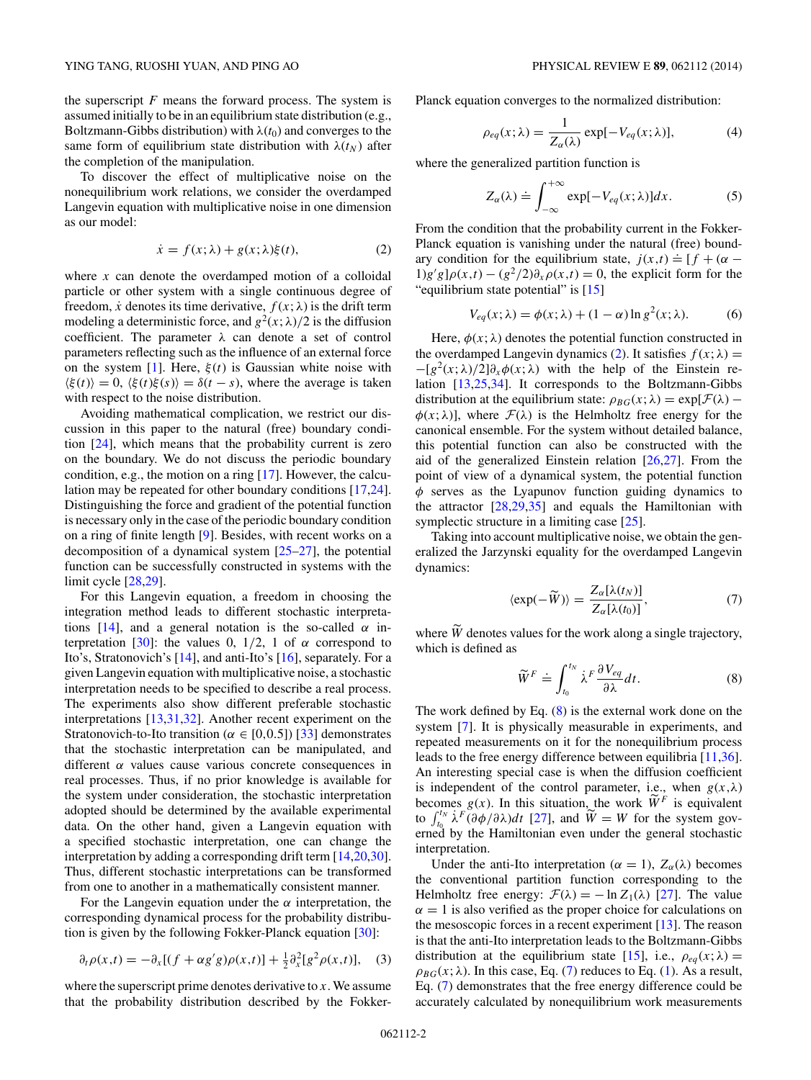<span id="page-1-0"></span>the superscript  $F$  means the forward process. The system is assumed initially to be in an equilibrium state distribution (e.g., Boltzmann-Gibbs distribution) with  $\lambda(t_0)$  and converges to the same form of equilibrium state distribution with  $\lambda(t_N)$  after the completion of the manipulation.

To discover the effect of multiplicative noise on the nonequilibrium work relations, we consider the overdamped Langevin equation with multiplicative noise in one dimension as our model:

$$
\dot{x} = f(x; \lambda) + g(x; \lambda)\xi(t),\tag{2}
$$

where *x* can denote the overdamped motion of a colloidal particle or other system with a single continuous degree of freedom, *x* denotes its time derivative,  $f(x; \lambda)$  is the drift term modeling a deterministic force, and  $g^2(x; \lambda)/2$  is the diffusion coefficient. The parameter *λ* can denote a set of control parameters reflecting such as the influence of an external force on the system [\[1\]](#page-4-0). Here,  $\xi(t)$  is Gaussian white noise with  $\langle \xi(t) \rangle = 0$ ,  $\langle \xi(t) \xi(s) \rangle = \delta(t - s)$ , where the average is taken with respect to the noise distribution.

Avoiding mathematical complication, we restrict our discussion in this paper to the natural (free) boundary condition [\[24\]](#page-4-0), which means that the probability current is zero on the boundary. We do not discuss the periodic boundary condition, e.g., the motion on a ring [\[17\]](#page-4-0). However, the calculation may be repeated for other boundary conditions [\[17,24\]](#page-4-0). Distinguishing the force and gradient of the potential function is necessary only in the case of the periodic boundary condition on a ring of finite length [\[9\]](#page-4-0). Besides, with recent works on a decomposition of a dynamical system [\[25–27\]](#page-4-0), the potential function can be successfully constructed in systems with the limit cycle [\[28,29\]](#page-4-0).

For this Langevin equation, a freedom in choosing the integration method leads to different stochastic interpreta-tions [\[14\]](#page-4-0), and a general notation is the so-called  $\alpha$  in-terpretation [\[30\]](#page-4-0): the values 0,  $1/2$ , 1 of  $\alpha$  correspond to Ito's, Stratonovich's [\[14\]](#page-4-0), and anti-Ito's [\[16\]](#page-4-0), separately. For a given Langevin equation with multiplicative noise, a stochastic interpretation needs to be specified to describe a real process. The experiments also show different preferable stochastic interpretations [\[13,31,32\]](#page-4-0). Another recent experiment on the Stratonovich-to-Ito transition ( $\alpha \in [0,0.5]$ ) [\[33\]](#page-4-0) demonstrates that the stochastic interpretation can be manipulated, and different *α* values cause various concrete consequences in real processes. Thus, if no prior knowledge is available for the system under consideration, the stochastic interpretation adopted should be determined by the available experimental data. On the other hand, given a Langevin equation with a specified stochastic interpretation, one can change the interpretation by adding a corresponding drift term [\[14,20,30\]](#page-4-0). Thus, different stochastic interpretations can be transformed from one to another in a mathematically consistent manner.

For the Langevin equation under the  $\alpha$  interpretation, the corresponding dynamical process for the probability distribution is given by the following Fokker-Planck equation [\[30\]](#page-4-0):

$$
\partial_t \rho(x,t) = -\partial_x [(f + \alpha g'g)\rho(x,t)] + \frac{1}{2} \partial_x^2 [g^2 \rho(x,t)], \quad (3)
$$

where the superscript prime denotes derivative to *x*. We assume that the probability distribution described by the FokkerPlanck equation converges to the normalized distribution:

$$
\rho_{eq}(x;\lambda) = \frac{1}{Z_{\alpha}(\lambda)} \exp[-V_{eq}(x;\lambda)],\tag{4}
$$

where the generalized partition function is

$$
Z_{\alpha}(\lambda) \doteq \int_{-\infty}^{+\infty} \exp[-V_{eq}(x;\lambda)]dx.
$$
 (5)

From the condition that the probability current in the Fokker-Planck equation is vanishing under the natural (free) boundary condition for the equilibrium state,  $j(x,t) = [f + (\alpha (1)g'g]\rho(x,t) - (g^2/2)\partial_x \rho(x,t) = 0$ , the explicit form for the "equilibrium state potential" is [\[15\]](#page-4-0)

$$
V_{eq}(x; \lambda) = \phi(x; \lambda) + (1 - \alpha) \ln g^{2}(x; \lambda).
$$
 (6)

Here,  $\phi(x; \lambda)$  denotes the potential function constructed in the overdamped Langevin dynamics (2). It satisfies  $f(x; \lambda) =$  $-[g^2(x;\lambda)/2]\partial_x\phi(x;\lambda)$  with the help of the Einstein relation [\[13,25,34\]](#page-4-0). It corresponds to the Boltzmann-Gibbs distribution at the equilibrium state:  $\rho_{BG}(x; \lambda) = \exp[\mathcal{F}(\lambda) \phi(x; \lambda)$ ], where  $\mathcal{F}(\lambda)$  is the Helmholtz free energy for the canonical ensemble. For the system without detailed balance, this potential function can also be constructed with the aid of the generalized Einstein relation  $[26,27]$ . From the point of view of a dynamical system, the potential function *φ* serves as the Lyapunov function guiding dynamics to the attractor [\[28,29,35\]](#page-4-0) and equals the Hamiltonian with symplectic structure in a limiting case [\[25\]](#page-4-0).

Taking into account multiplicative noise, we obtain the generalized the Jarzynski equality for the overdamped Langevin dynamics:

$$
\langle \exp(-\widetilde{W}) \rangle = \frac{Z_{\alpha}[\lambda(t_N)]}{Z_{\alpha}[\lambda(t_0)]},\tag{7}
$$

where  $\widetilde{W}$  denotes values for the work along a single trajectory, which is defined as

$$
\widetilde{W}^F \doteq \int_{t_0}^{t_N} \dot{\lambda}^F \frac{\partial V_{eq}}{\partial \lambda} dt.
$$
 (8)

The work defined by Eq. (8) is the external work done on the system [\[7\]](#page-4-0). It is physically measurable in experiments, and repeated measurements on it for the nonequilibrium process leads to the free energy difference between equilibria [\[11,36\]](#page-4-0). An interesting special case is when the diffusion coefficient is independent of the control parameter, i.e., when  $g(x, \lambda)$ becomes  $g(x)$ . In this situation, the work  $\widetilde{W}^F$  is equivalent to  $\int_{t_0}^{t_N} \lambda^F(\partial \phi/\partial \lambda) dt$  [\[27\]](#page-4-0), and  $\widetilde{W} = W$  for the system governed by the Hamiltonian even under the general stochastic interpretation.

Under the anti-Ito interpretation ( $\alpha = 1$ ),  $Z_{\alpha}(\lambda)$  becomes the conventional partition function corresponding to the Helmholtz free energy:  $\mathcal{F}(\lambda) = -\ln Z_1(\lambda)$  [\[27\]](#page-4-0). The value  $\alpha = 1$  is also verified as the proper choice for calculations on the mesoscopic forces in a recent experiment  $[13]$ . The reason is that the anti-Ito interpretation leads to the Boltzmann-Gibbs distribution at the equilibrium state [\[15\]](#page-4-0), i.e.,  $\rho_{eq}(x; \lambda) =$  $\rho_{BG}(x; \lambda)$ . In this case, Eq. (7) reduces to Eq. [\(1\)](#page-0-0). As a result, Eq. (7) demonstrates that the free energy difference could be accurately calculated by nonequilibrium work measurements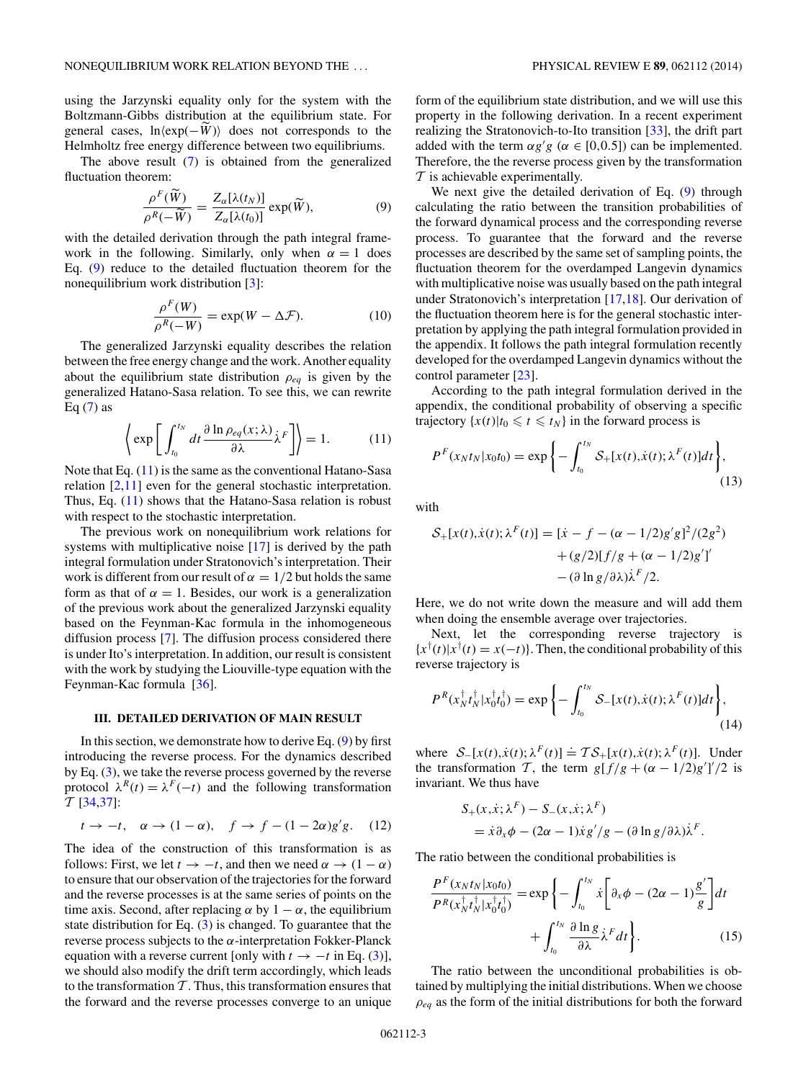<span id="page-2-0"></span>using the Jarzynski equality only for the system with the Boltzmann-Gibbs distribution at the equilibrium state. For general cases,  $\ln \langle \exp(-\tilde{W}) \rangle$  does not corresponds to the Helmholtz free energy difference between two equilibriums.

The above result [\(7\)](#page-1-0) is obtained from the generalized fluctuation theorem:

$$
\frac{\rho^F(\widetilde{W})}{\rho^R(-\widetilde{W})} = \frac{Z_\alpha[\lambda(t_N)]}{Z_\alpha[\lambda(t_0)]} \exp(\widetilde{W}),\tag{9}
$$

with the detailed derivation through the path integral framework in the following. Similarly, only when  $\alpha = 1$  does Eq. (9) reduce to the detailed fluctuation theorem for the nonequilibrium work distribution [\[3\]](#page-4-0):

$$
\frac{\rho^F(W)}{\rho^R(-W)} = \exp(W - \Delta \mathcal{F}).
$$
\n(10)

The generalized Jarzynski equality describes the relation between the free energy change and the work. Another equality about the equilibrium state distribution  $\rho_{eq}$  is given by the generalized Hatano-Sasa relation. To see this, we can rewrite Eq  $(7)$  as

$$
\left\langle \exp\left[\int_{t_0}^{t_N} dt \frac{\partial \ln \rho_{eq}(x;\lambda)}{\partial \lambda} \dot{\lambda}^F \right] \right\rangle = 1. \tag{11}
$$

Note that Eq.  $(11)$  is the same as the conventional Hatano-Sasa relation  $[2,11]$  even for the general stochastic interpretation. Thus, Eq. (11) shows that the Hatano-Sasa relation is robust with respect to the stochastic interpretation.

The previous work on nonequilibrium work relations for systems with multiplicative noise [\[17\]](#page-4-0) is derived by the path integral formulation under Stratonovich's interpretation. Their work is different from our result of  $\alpha = 1/2$  but holds the same form as that of  $\alpha = 1$ . Besides, our work is a generalization of the previous work about the generalized Jarzynski equality based on the Feynman-Kac formula in the inhomogeneous diffusion process [\[7\]](#page-4-0). The diffusion process considered there is under Ito's interpretation. In addition, our result is consistent with the work by studying the Liouville-type equation with the Feynman-Kac formula [\[36\]](#page-4-0).

### **III. DETAILED DERIVATION OF MAIN RESULT**

In this section, we demonstrate how to derive Eq.  $(9)$  by first introducing the reverse process. For the dynamics described by Eq. [\(3\)](#page-1-0), we take the reverse process governed by the reverse protocol  $\lambda^R(t) = \lambda^F(-t)$  and the following transformation T [\[34,37\]](#page-4-0):

$$
t \to -t, \quad \alpha \to (1 - \alpha), \quad f \to f - (1 - 2\alpha)g'g. \tag{12}
$$

The idea of the construction of this transformation is as follows: First, we let  $t \to -t$ , and then we need  $\alpha \to (1 - \alpha)$ to ensure that our observation of the trajectories for the forward and the reverse processes is at the same series of points on the time axis. Second, after replacing  $\alpha$  by  $1 - \alpha$ , the equilibrium state distribution for Eq. [\(3\)](#page-1-0) is changed. To guarantee that the reverse process subjects to the *α*-interpretation Fokker-Planck equation with a reverse current [only with  $t \to -t$  in Eq. [\(3\)](#page-1-0)], we should also modify the drift term accordingly, which leads to the transformation  $T$ . Thus, this transformation ensures that the forward and the reverse processes converge to an unique

form of the equilibrium state distribution, and we will use this property in the following derivation. In a recent experiment realizing the Stratonovich-to-Ito transition [\[33\]](#page-4-0), the drift part added with the term  $\alpha g'g$  ( $\alpha \in [0,0.5]$ ) can be implemented. Therefore, the the reverse process given by the transformation  $T$  is achievable experimentally.

We next give the detailed derivation of Eq. (9) through calculating the ratio between the transition probabilities of the forward dynamical process and the corresponding reverse process. To guarantee that the forward and the reverse processes are described by the same set of sampling points, the fluctuation theorem for the overdamped Langevin dynamics with multiplicative noise was usually based on the path integral under Stratonovich's interpretation [\[17,18\]](#page-4-0). Our derivation of the fluctuation theorem here is for the general stochastic interpretation by applying the path integral formulation provided in the appendix. It follows the path integral formulation recently developed for the overdamped Langevin dynamics without the control parameter [\[23\]](#page-4-0).

According to the path integral formulation derived in the appendix, the conditional probability of observing a specific trajectory  $\{x(t)|t_0 \leq t \leq t_N\}$  in the forward process is

$$
P^{F}(x_{N}t_{N}|x_{0}t_{0}) = \exp\left\{-\int_{t_{0}}^{t_{N}} S_{+}[x(t), \dot{x}(t); \lambda^{F}(t)]dt\right\},\tag{13}
$$

with

$$
S_{+}[x(t), \dot{x}(t); \lambda^{F}(t)] = [\dot{x} - f - (\alpha - 1/2)g'g]^{2}/(2g^{2})
$$

$$
+ (g/2)[f/g + (\alpha - 1/2)g']'
$$

$$
- (\partial \ln g/\partial \lambda) \dot{\lambda}^{F}/2.
$$

Here, we do not write down the measure and will add them when doing the ensemble average over trajectories.

Next, let the corresponding reverse trajectory is  ${x^{\dagger}(t)}|x^{\dagger}(t) = x(-t)$ . Then, the conditional probability of this reverse trajectory is

$$
P^{R}(x_N^{\dagger}t_N^{\dagger}|x_0^{\dagger}t_0^{\dagger}) = \exp\left\{-\int_{t_0}^{t_N} \mathcal{S}_-[x(t),\dot{x}(t);\lambda^F(t)]dt\right\},\tag{14}
$$

where  $S_{-}[x(t), \dot{x}(t); \lambda^{F}(t)] = \mathcal{TS}_{+}[x(t), \dot{x}(t); \lambda^{F}(t)]$ . Under the transformation T, the term  $g[f/g + (\alpha - 1/2)g']'/2$  is invariant. We thus have

$$
S_{+}(x, \dot{x}; \lambda^{F}) - S_{-}(x, \dot{x}; \lambda^{F})
$$
  
=  $\dot{x}\partial_{x}\phi - (2\alpha - 1)\dot{x}g'/g - (\partial \ln g/\partial \lambda)\dot{\lambda}^{F}$ .

The ratio between the conditional probabilities is

$$
\frac{P^F(x_N t_N | x_0 t_0)}{P^R(x_N^{\dagger} t_N^{\dagger} | x_0^{\dagger} t_0^{\dagger})} = \exp\left\{-\int_{t_0}^{t_N} \dot{x} \left[\partial_x \phi - (2\alpha - 1)\frac{g'}{g}\right] dt + \int_{t_0}^{t_N} \frac{\partial \ln g}{\partial \lambda} \dot{\lambda}^F dt\right\}.
$$
\n(15)

The ratio between the unconditional probabilities is obtained by multiplying the initial distributions. When we choose *ρeq* as the form of the initial distributions for both the forward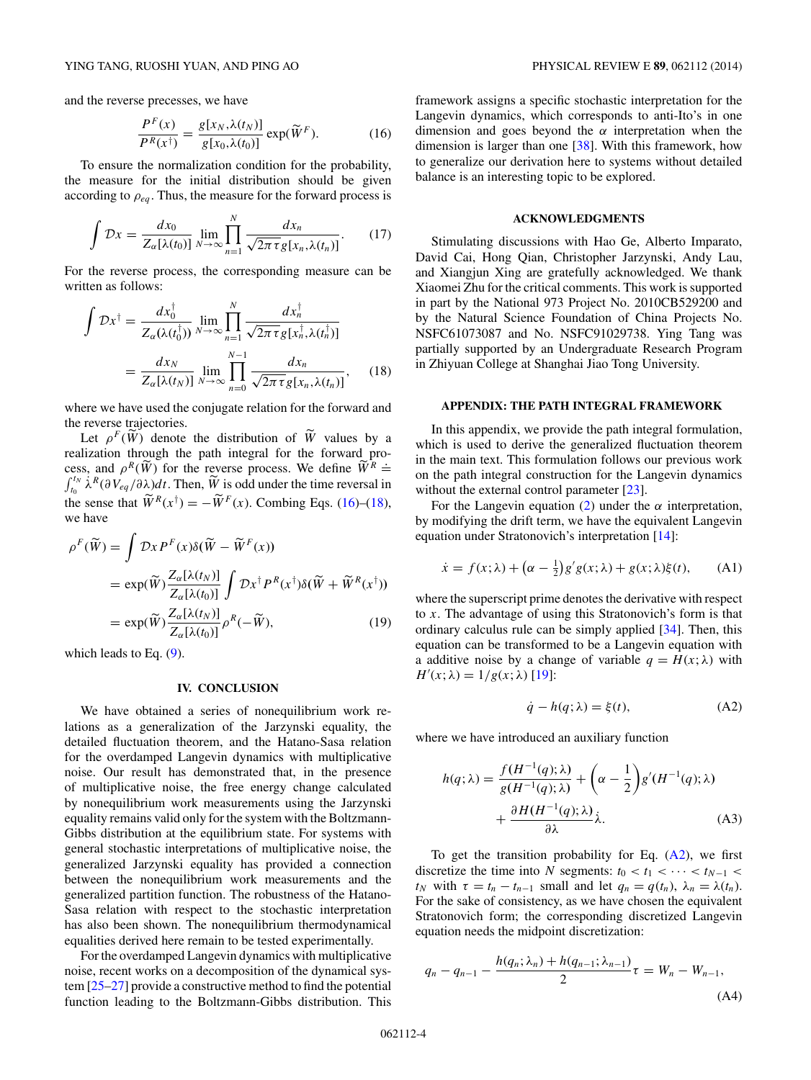<span id="page-3-0"></span>and the reverse precesses, we have

$$
\frac{P^F(x)}{P^R(x^{\dagger})} = \frac{g[x_N, \lambda(t_N)]}{g[x_0, \lambda(t_0)]} \exp(\widetilde{W}^F).
$$
 (16)

To ensure the normalization condition for the probability, the measure for the initial distribution should be given according to  $\rho_{eq}$ . Thus, the measure for the forward process is

$$
\int \mathcal{D}x = \frac{dx_0}{Z_{\alpha}[\lambda(t_0)]} \lim_{N \to \infty} \prod_{n=1}^N \frac{dx_n}{\sqrt{2\pi \tau} g[x_n, \lambda(t_n)]}.
$$
 (17)

For the reverse process, the corresponding measure can be written as follows:

$$
\int \mathcal{D}x^{\dagger} = \frac{dx_0^{\dagger}}{Z_{\alpha}(\lambda(t_0^{\dagger}))} \lim_{N \to \infty} \prod_{n=1}^{N} \frac{dx_n^{\dagger}}{\sqrt{2\pi \tau} g[x_n^{\dagger}, \lambda(t_n^{\dagger})]}
$$

$$
= \frac{dx_N}{Z_{\alpha}[\lambda(t_N)]} \lim_{N \to \infty} \prod_{n=0}^{N-1} \frac{dx_n}{\sqrt{2\pi \tau} g[x_n, \lambda(t_n)]}, \quad (18)
$$

where we have used the conjugate relation for the forward and the reverse trajectories.

Let  $\rho^F(\widetilde{W})$  denote the distribution of  $\widetilde{W}$  values by a realization through the path integral for the forward process, and *ρ*<sup>*R*</sup>(*W*) for the reverse process. We define  $\widetilde{W}^R \doteq \int_0^{t_N} \lambda^R(\partial V_{ea}/\partial \lambda)dt$ . Then,  $\widetilde{W}$  is odd under the time reversal in  $\int_{t_0}^{t_N} \lambda^R(\partial V_{eq}/\partial \lambda)dt$ . Then,  $\widetilde{W}$  is odd under the time reversal in the sense that  $\widetilde{W}^R(x^{\dagger}) = -\widetilde{W}^F(x)$ . Combing Eqs. (16)–(18), we have

$$
\rho^{F}(\widetilde{W}) = \int \mathcal{D}x P^{F}(x) \delta(\widetilde{W} - \widetilde{W}^{F}(x))
$$
  
=  $\exp(\widetilde{W}) \frac{Z_{\alpha}[\lambda(t_N)]}{Z_{\alpha}[\lambda(t_0)]} \int \mathcal{D}x^{\dagger} P^{R}(x^{\dagger}) \delta(\widetilde{W} + \widetilde{W}^{R}(x^{\dagger}))$   
=  $\exp(\widetilde{W}) \frac{Z_{\alpha}[\lambda(t_N)]}{Z_{\alpha}[\lambda(t_0)]} \rho^{R}(-\widetilde{W}),$  (19)

which leads to Eq. [\(9\)](#page-2-0).

#### **IV. CONCLUSION**

We have obtained a series of nonequilibrium work relations as a generalization of the Jarzynski equality, the detailed fluctuation theorem, and the Hatano-Sasa relation for the overdamped Langevin dynamics with multiplicative noise. Our result has demonstrated that, in the presence of multiplicative noise, the free energy change calculated by nonequilibrium work measurements using the Jarzynski equality remains valid only for the system with the Boltzmann-Gibbs distribution at the equilibrium state. For systems with general stochastic interpretations of multiplicative noise, the generalized Jarzynski equality has provided a connection between the nonequilibrium work measurements and the generalized partition function. The robustness of the Hatano-Sasa relation with respect to the stochastic interpretation has also been shown. The nonequilibrium thermodynamical equalities derived here remain to be tested experimentally.

For the overdamped Langevin dynamics with multiplicative noise, recent works on a decomposition of the dynamical system [\[25–27\]](#page-4-0) provide a constructive method to find the potential function leading to the Boltzmann-Gibbs distribution. This

framework assigns a specific stochastic interpretation for the Langevin dynamics, which corresponds to anti-Ito's in one dimension and goes beyond the *α* interpretation when the dimension is larger than one [\[38\]](#page-4-0). With this framework, how to generalize our derivation here to systems without detailed balance is an interesting topic to be explored.

#### **ACKNOWLEDGMENTS**

Stimulating discussions with Hao Ge, Alberto Imparato, David Cai, Hong Qian, Christopher Jarzynski, Andy Lau, and Xiangjun Xing are gratefully acknowledged. We thank Xiaomei Zhu for the critical comments. This work is supported in part by the National 973 Project No. 2010CB529200 and by the Natural Science Foundation of China Projects No. NSFC61073087 and No. NSFC91029738. Ying Tang was partially supported by an Undergraduate Research Program in Zhiyuan College at Shanghai Jiao Tong University.

### **APPENDIX: THE PATH INTEGRAL FRAMEWORK**

In this appendix, we provide the path integral formulation, which is used to derive the generalized fluctuation theorem in the main text. This formulation follows our previous work on the path integral construction for the Langevin dynamics without the external control parameter [\[23\]](#page-4-0).

For the Langevin equation [\(2\)](#page-1-0) under the  $\alpha$  interpretation, by modifying the drift term, we have the equivalent Langevin equation under Stratonovich's interpretation [\[14\]](#page-4-0):

$$
\dot{x} = f(x; \lambda) + (\alpha - \frac{1}{2})g'g(x; \lambda) + g(x; \lambda)\xi(t), \quad (A1)
$$

where the superscript prime denotes the derivative with respect to *x*. The advantage of using this Stratonovich's form is that ordinary calculus rule can be simply applied [\[34\]](#page-4-0). Then, this equation can be transformed to be a Langevin equation with a additive noise by a change of variable  $q = H(x; \lambda)$  with *H*<sup> $\prime$ </sup>(*x*; *λ*) = 1/*g*(*x*; *λ*) [\[19\]](#page-4-0):

$$
\dot{q} - h(q; \lambda) = \xi(t),\tag{A2}
$$

where we have introduced an auxiliary function

$$
h(q; \lambda) = \frac{f(H^{-1}(q); \lambda)}{g(H^{-1}(q); \lambda)} + \left(\alpha - \frac{1}{2}\right)g'(H^{-1}(q); \lambda)
$$

$$
+ \frac{\partial H(H^{-1}(q); \lambda)}{\partial \lambda} \lambda.
$$
 (A3)

To get the transition probability for Eq.  $(A2)$ , we first discretize the time into *N* segments:  $t_0 < t_1 < \cdots < t_{N-1} <$ *t<sub>N</sub>* with  $\tau = t_n - t_{n-1}$  small and let  $q_n = q(t_n)$ ,  $\lambda_n = \lambda(t_n)$ . For the sake of consistency, as we have chosen the equivalent Stratonovich form; the corresponding discretized Langevin equation needs the midpoint discretization:

$$
q_n - q_{n-1} - \frac{h(q_n; \lambda_n) + h(q_{n-1}; \lambda_{n-1})}{2} \tau = W_n - W_{n-1},
$$
\n(A4)